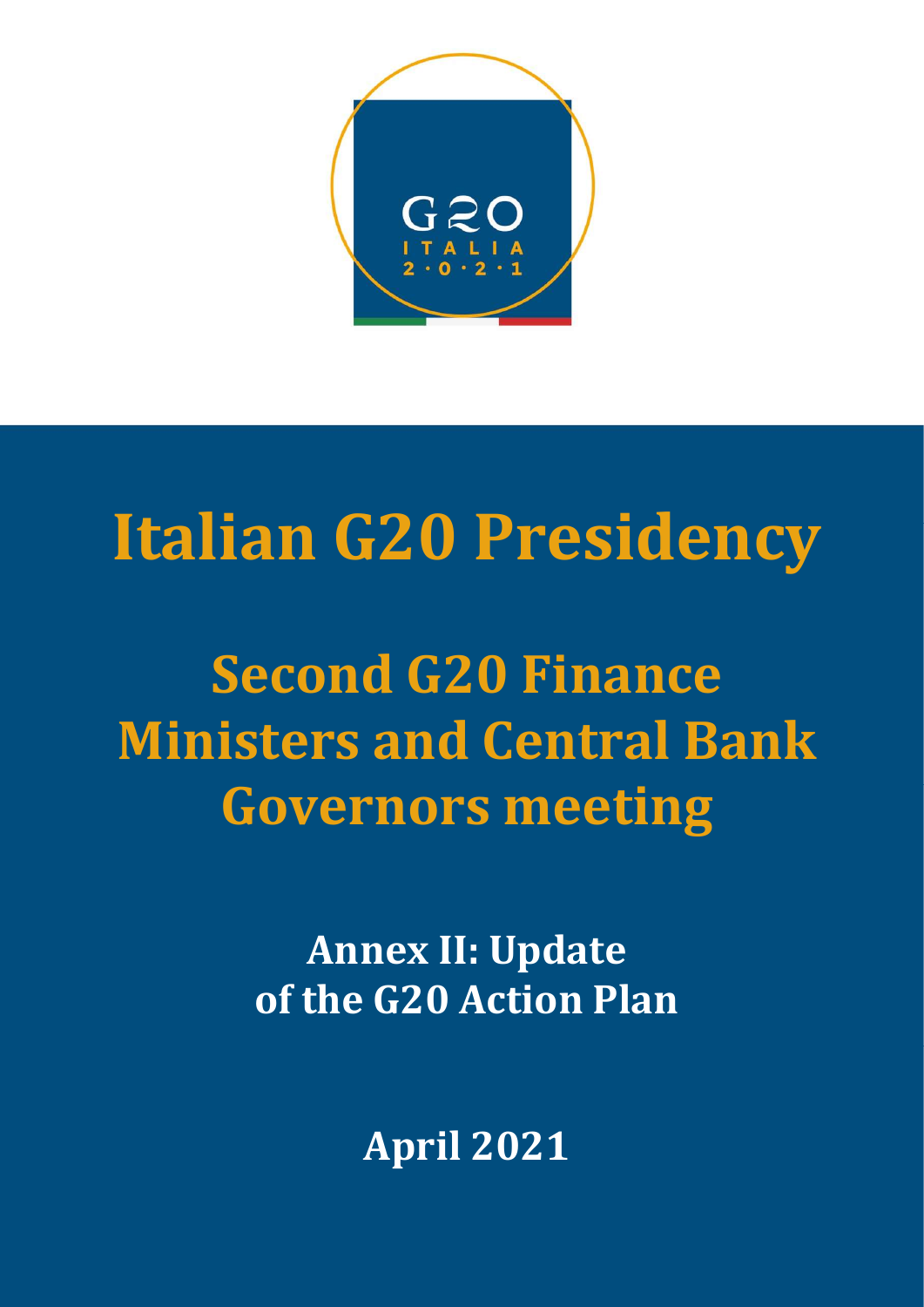

# Italian G20 Presidency

Second G20 Finance Ministers and Central Bank Governors meeting

> Annex II: Update of the G20 Action Plan

> > April 2021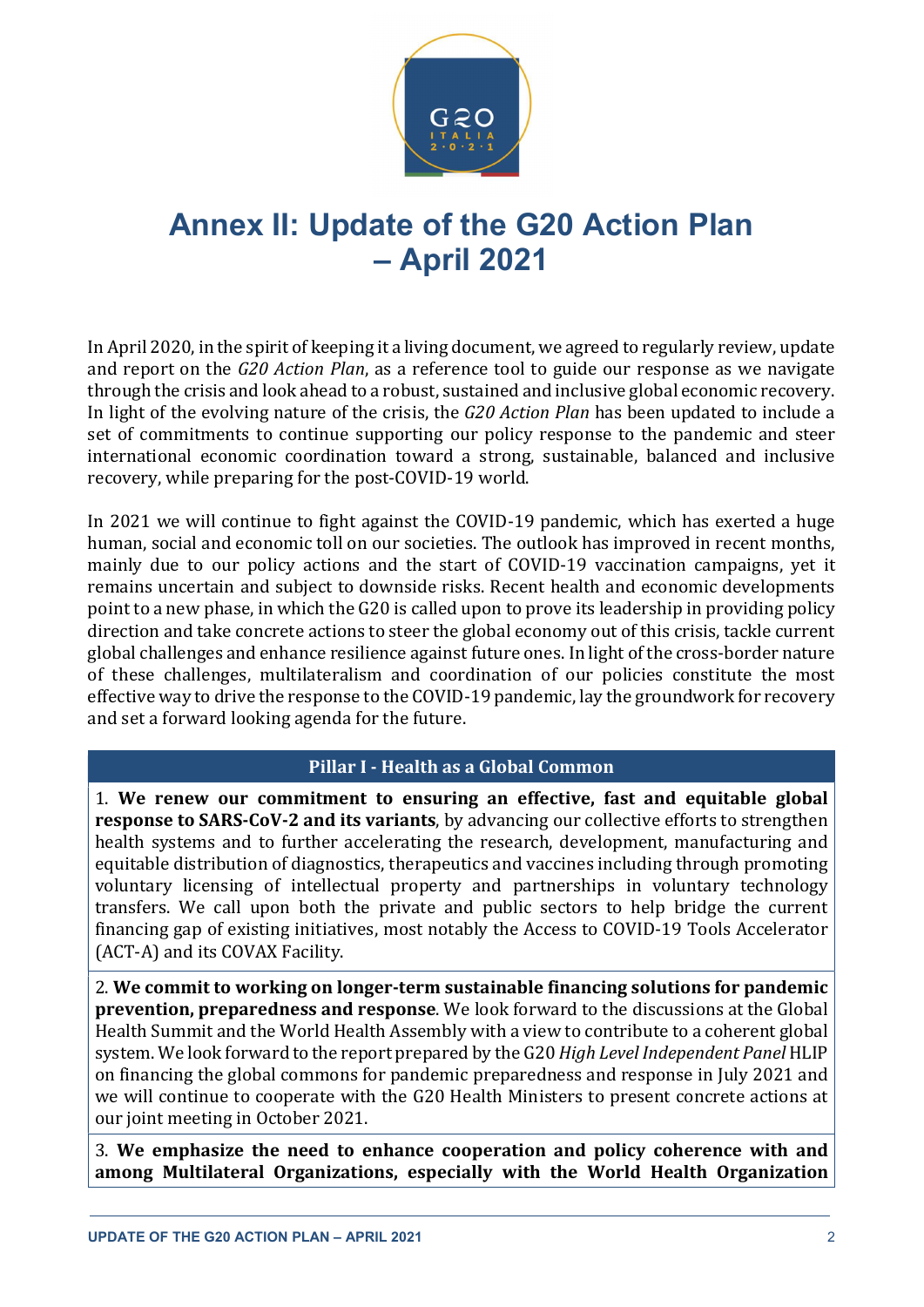

## Annex II: Update of the G20 Action Plan – April 2021

In April 2020, in the spirit of keeping it a living document, we agreed to regularly review, update and report on the G20 Action Plan, as a reference tool to guide our response as we navigate through the crisis and look ahead to a robust, sustained and inclusive global economic recovery. In light of the evolving nature of the crisis, the G20 Action Plan has been updated to include a set of commitments to continue supporting our policy response to the pandemic and steer international economic coordination toward a strong, sustainable, balanced and inclusive recovery, while preparing for the post-COVID-19 world.

In 2021 we will continue to fight against the COVID-19 pandemic, which has exerted a huge human, social and economic toll on our societies. The outlook has improved in recent months, mainly due to our policy actions and the start of COVID-19 vaccination campaigns, yet it remains uncertain and subject to downside risks. Recent health and economic developments point to a new phase, in which the G20 is called upon to prove its leadership in providing policy direction and take concrete actions to steer the global economy out of this crisis, tackle current global challenges and enhance resilience against future ones. In light of the cross-border nature of these challenges, multilateralism and coordination of our policies constitute the most effective way to drive the response to the COVID-19 pandemic, lay the groundwork for recovery and set a forward looking agenda for the future.

#### Pillar I - Health as a Global Common

1. We renew our commitment to ensuring an effective, fast and equitable global response to SARS-CoV-2 and its variants, by advancing our collective efforts to strengthen health systems and to further accelerating the research, development, manufacturing and equitable distribution of diagnostics, therapeutics and vaccines including through promoting voluntary licensing of intellectual property and partnerships in voluntary technology transfers. We call upon both the private and public sectors to help bridge the current financing gap of existing initiatives, most notably the Access to COVID-19 Tools Accelerator (ACT-A) and its COVAX Facility.

2. We commit to working on longer-term sustainable financing solutions for pandemic prevention, preparedness and response. We look forward to the discussions at the Global Health Summit and the World Health Assembly with a view to contribute to a coherent global system. We look forward to the report prepared by the G20 High Level Independent Panel HLIP on financing the global commons for pandemic preparedness and response in July 2021 and we will continue to cooperate with the G20 Health Ministers to present concrete actions at our joint meeting in October 2021.

3. We emphasize the need to enhance cooperation and policy coherence with and among Multilateral Organizations, especially with the World Health Organization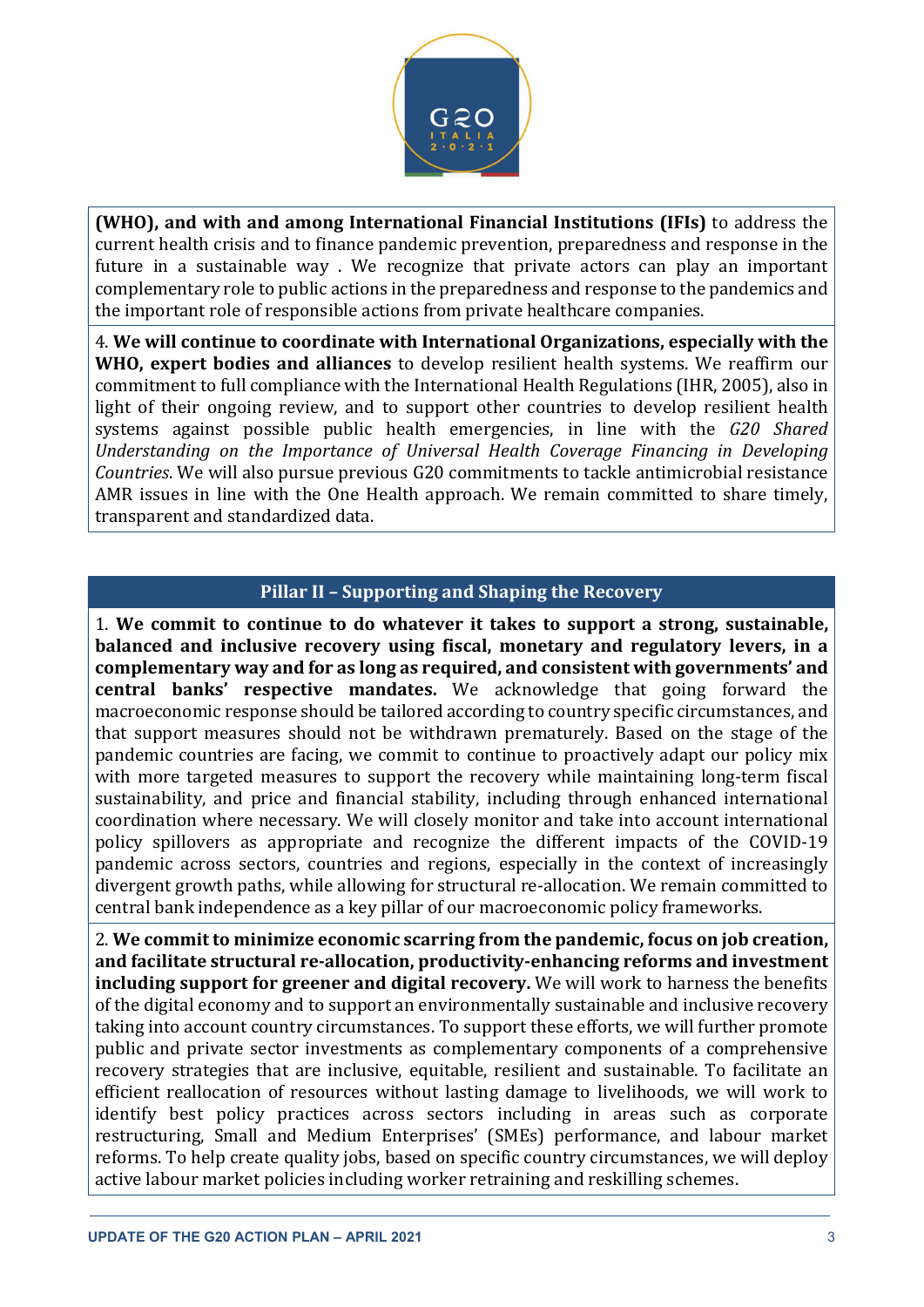

(WHO), and with and among International Financial Institutions (IFIs) to address the current health crisis and to finance pandemic prevention, preparedness and response in the future in a sustainable way . We recognize that private actors can play an important complementary role to public actions in the preparedness and response to the pandemics and the important role of responsible actions from private healthcare companies.

4. We will continue to coordinate with International Organizations, especially with the WHO, expert bodies and alliances to develop resilient health systems. We reaffirm our commitment to full compliance with the International Health Regulations (IHR, 2005), also in light of their ongoing review, and to support other countries to develop resilient health systems against possible public health emergencies, in line with the G20 Shared Understanding on the Importance of Universal Health Coverage Financing in Developing Countries. We will also pursue previous G20 commitments to tackle antimicrobial resistance AMR issues in line with the One Health approach. We remain committed to share timely, transparent and standardized data.

#### Pillar II – Supporting and Shaping the Recovery

1. We commit to continue to do whatever it takes to support a strong, sustainable, balanced and inclusive recovery using fiscal, monetary and regulatory levers, in a complementary way and for as long as required, and consistent with governments' and central banks' respective mandates. We acknowledge that going forward the macroeconomic response should be tailored according to country specific circumstances, and that support measures should not be withdrawn prematurely. Based on the stage of the pandemic countries are facing, we commit to continue to proactively adapt our policy mix with more targeted measures to support the recovery while maintaining long-term fiscal sustainability, and price and financial stability, including through enhanced international coordination where necessary. We will closely monitor and take into account international policy spillovers as appropriate and recognize the different impacts of the COVID-19 pandemic across sectors, countries and regions, especially in the context of increasingly divergent growth paths, while allowing for structural re-allocation. We remain committed to central bank independence as a key pillar of our macroeconomic policy frameworks.

2. We commit to minimize economic scarring from the pandemic, focus on job creation, and facilitate structural re-allocation, productivity-enhancing reforms and investment including support for greener and digital recovery. We will work to harness the benefits of the digital economy and to support an environmentally sustainable and inclusive recovery taking into account country circumstances. To support these efforts, we will further promote public and private sector investments as complementary components of a comprehensive recovery strategies that are inclusive, equitable, resilient and sustainable. To facilitate an efficient reallocation of resources without lasting damage to livelihoods, we will work to identify best policy practices across sectors including in areas such as corporate restructuring, Small and Medium Enterprises' (SMEs) performance, and labour market reforms. To help create quality jobs, based on specific country circumstances, we will deploy active labour market policies including worker retraining and reskilling schemes.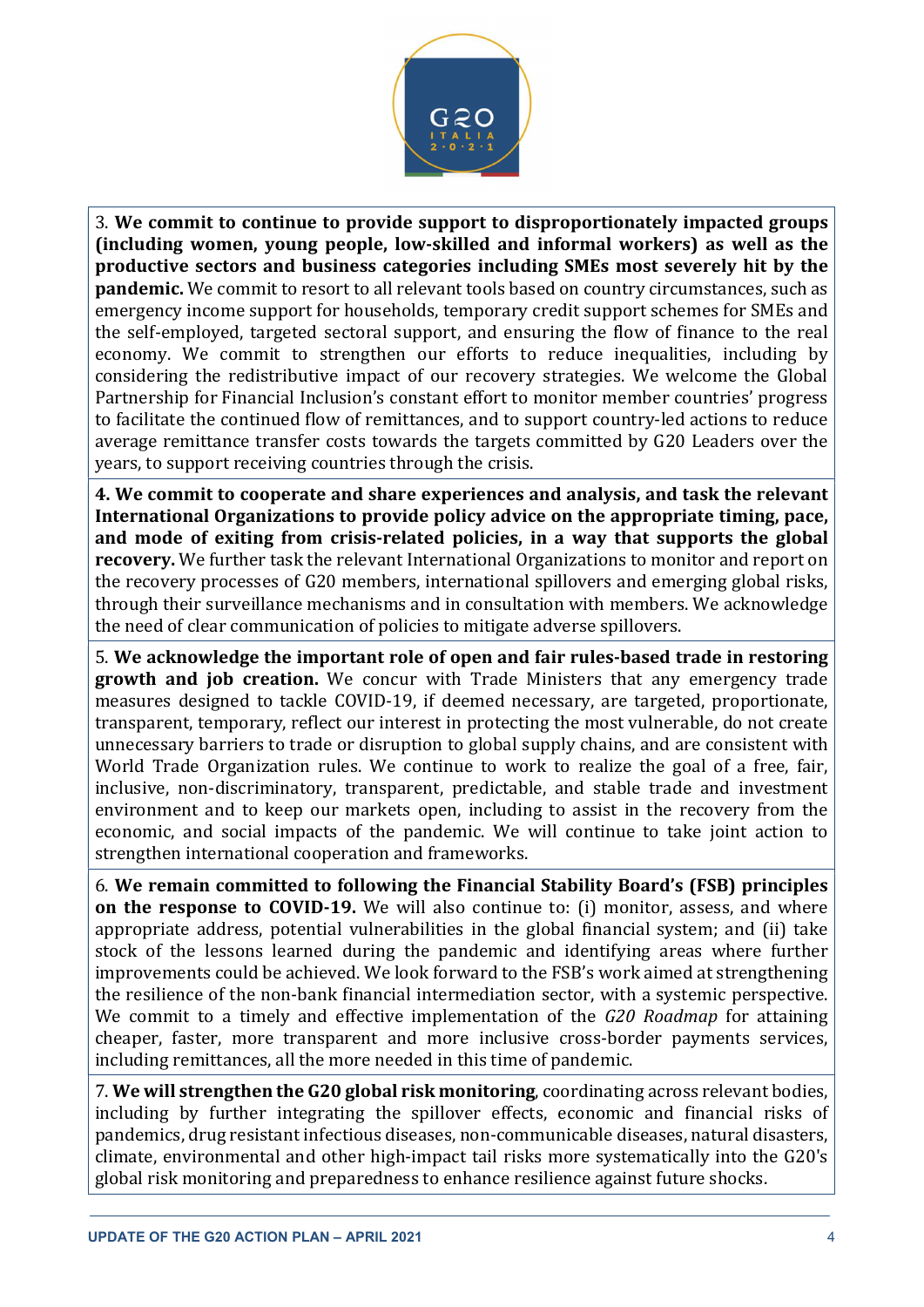

3. We commit to continue to provide support to disproportionately impacted groups (including women, young people, low-skilled and informal workers) as well as the productive sectors and business categories including SMEs most severely hit by the pandemic. We commit to resort to all relevant tools based on country circumstances, such as emergency income support for households, temporary credit support schemes for SMEs and the self-employed, targeted sectoral support, and ensuring the flow of finance to the real economy. We commit to strengthen our efforts to reduce inequalities, including by considering the redistributive impact of our recovery strategies. We welcome the Global Partnership for Financial Inclusion's constant effort to monitor member countries' progress to facilitate the continued flow of remittances, and to support country-led actions to reduce average remittance transfer costs towards the targets committed by G20 Leaders over the years, to support receiving countries through the crisis.

4. We commit to cooperate and share experiences and analysis, and task the relevant International Organizations to provide policy advice on the appropriate timing, pace, and mode of exiting from crisis-related policies, in a way that supports the global recovery. We further task the relevant International Organizations to monitor and report on the recovery processes of G20 members, international spillovers and emerging global risks, through their surveillance mechanisms and in consultation with members. We acknowledge the need of clear communication of policies to mitigate adverse spillovers.

5. We acknowledge the important role of open and fair rules-based trade in restoring growth and job creation. We concur with Trade Ministers that any emergency trade measures designed to tackle COVID-19, if deemed necessary, are targeted, proportionate, transparent, temporary, reflect our interest in protecting the most vulnerable, do not create unnecessary barriers to trade or disruption to global supply chains, and are consistent with World Trade Organization rules. We continue to work to realize the goal of a free, fair, inclusive, non-discriminatory, transparent, predictable, and stable trade and investment environment and to keep our markets open, including to assist in the recovery from the economic, and social impacts of the pandemic. We will continue to take joint action to strengthen international cooperation and frameworks.

6. We remain committed to following the Financial Stability Board's (FSB) principles on the response to COVID-19. We will also continue to: (i) monitor, assess, and where appropriate address, potential vulnerabilities in the global financial system; and (ii) take stock of the lessons learned during the pandemic and identifying areas where further improvements could be achieved. We look forward to the FSB's work aimed at strengthening the resilience of the non-bank financial intermediation sector, with a systemic perspective. We commit to a timely and effective implementation of the G20 Roadmap for attaining cheaper, faster, more transparent and more inclusive cross-border payments services, including remittances, all the more needed in this time of pandemic.

7. We will strengthen the G20 global risk monitoring, coordinating across relevant bodies, including by further integrating the spillover effects, economic and financial risks of pandemics, drug resistant infectious diseases, non-communicable diseases, natural disasters, climate, environmental and other high-impact tail risks more systematically into the G20's global risk monitoring and preparedness to enhance resilience against future shocks.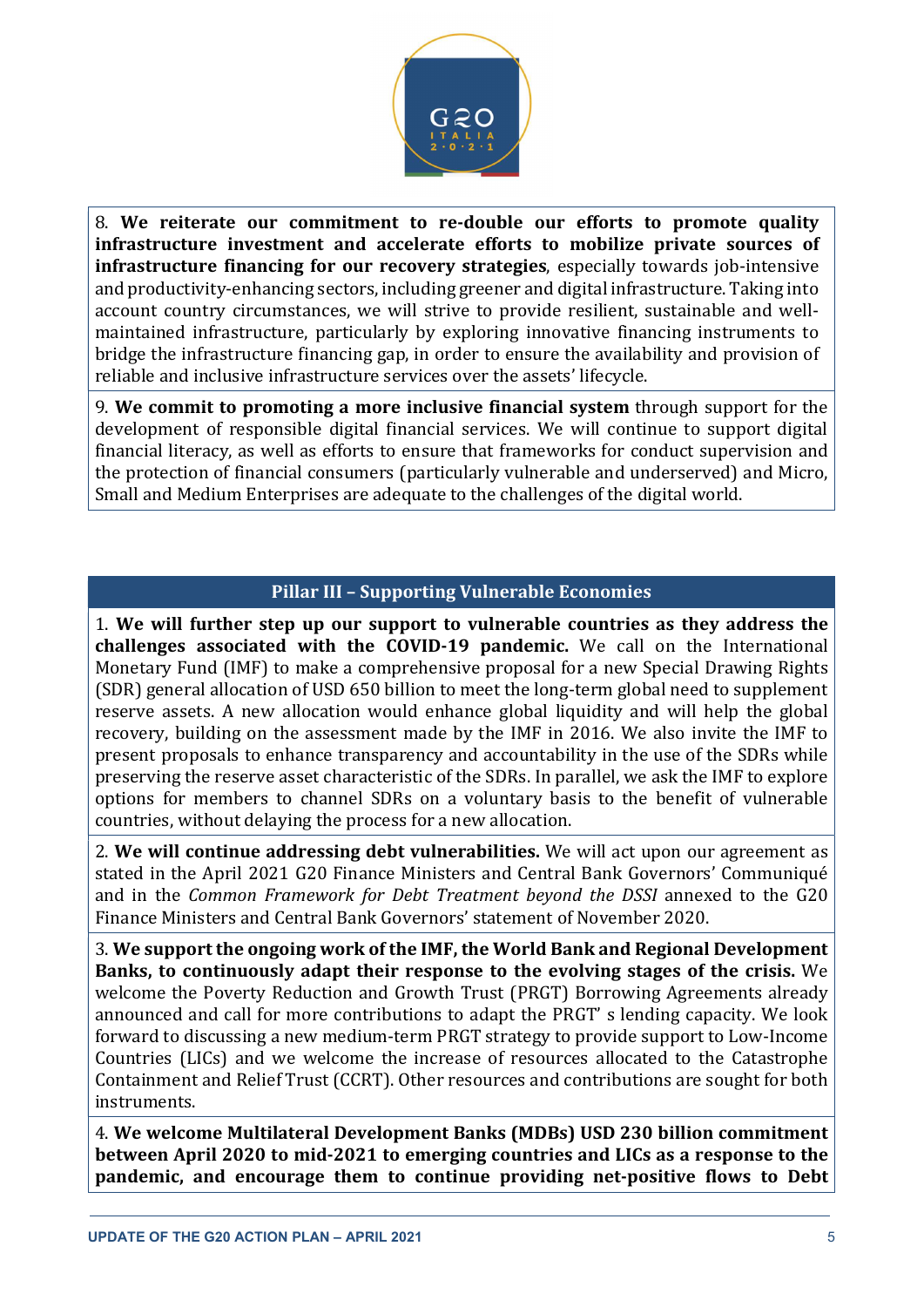

8. We reiterate our commitment to re-double our efforts to promote quality infrastructure investment and accelerate efforts to mobilize private sources of infrastructure financing for our recovery strategies, especially towards job-intensive and productivity-enhancing sectors, including greener and digital infrastructure. Taking into account country circumstances, we will strive to provide resilient, sustainable and wellmaintained infrastructure, particularly by exploring innovative financing instruments to bridge the infrastructure financing gap, in order to ensure the availability and provision of reliable and inclusive infrastructure services over the assets' lifecycle.

9. We commit to promoting a more inclusive financial system through support for the development of responsible digital financial services. We will continue to support digital financial literacy, as well as efforts to ensure that frameworks for conduct supervision and the protection of financial consumers (particularly vulnerable and underserved) and Micro, Small and Medium Enterprises are adequate to the challenges of the digital world.

#### Pillar III – Supporting Vulnerable Economies

1. We will further step up our support to vulnerable countries as they address the challenges associated with the COVID-19 pandemic. We call on the International Monetary Fund (IMF) to make a comprehensive proposal for a new Special Drawing Rights (SDR) general allocation of USD 650 billion to meet the long-term global need to supplement reserve assets. A new allocation would enhance global liquidity and will help the global recovery, building on the assessment made by the IMF in 2016. We also invite the IMF to present proposals to enhance transparency and accountability in the use of the SDRs while preserving the reserve asset characteristic of the SDRs. In parallel, we ask the IMF to explore options for members to channel SDRs on a voluntary basis to the benefit of vulnerable countries, without delaying the process for a new allocation.

2. We will continue addressing debt vulnerabilities. We will act upon our agreement as stated in the April 2021 G20 Finance Ministers and Central Bank Governors' Communiqué and in the Common Framework for Debt Treatment beyond the DSSI annexed to the G20 Finance Ministers and Central Bank Governors' statement of November 2020.

3. We support the ongoing work of the IMF, the World Bank and Regional Development Banks, to continuously adapt their response to the evolving stages of the crisis. We welcome the Poverty Reduction and Growth Trust (PRGT) Borrowing Agreements already announced and call for more contributions to adapt the PRGT' s lending capacity. We look forward to discussing a new medium-term PRGT strategy to provide support to Low-Income Countries (LICs) and we welcome the increase of resources allocated to the Catastrophe Containment and Relief Trust (CCRT). Other resources and contributions are sought for both instruments.

4. We welcome Multilateral Development Banks (MDBs) USD 230 billion commitment between April 2020 to mid-2021 to emerging countries and LICs as a response to the pandemic, and encourage them to continue providing net-positive flows to Debt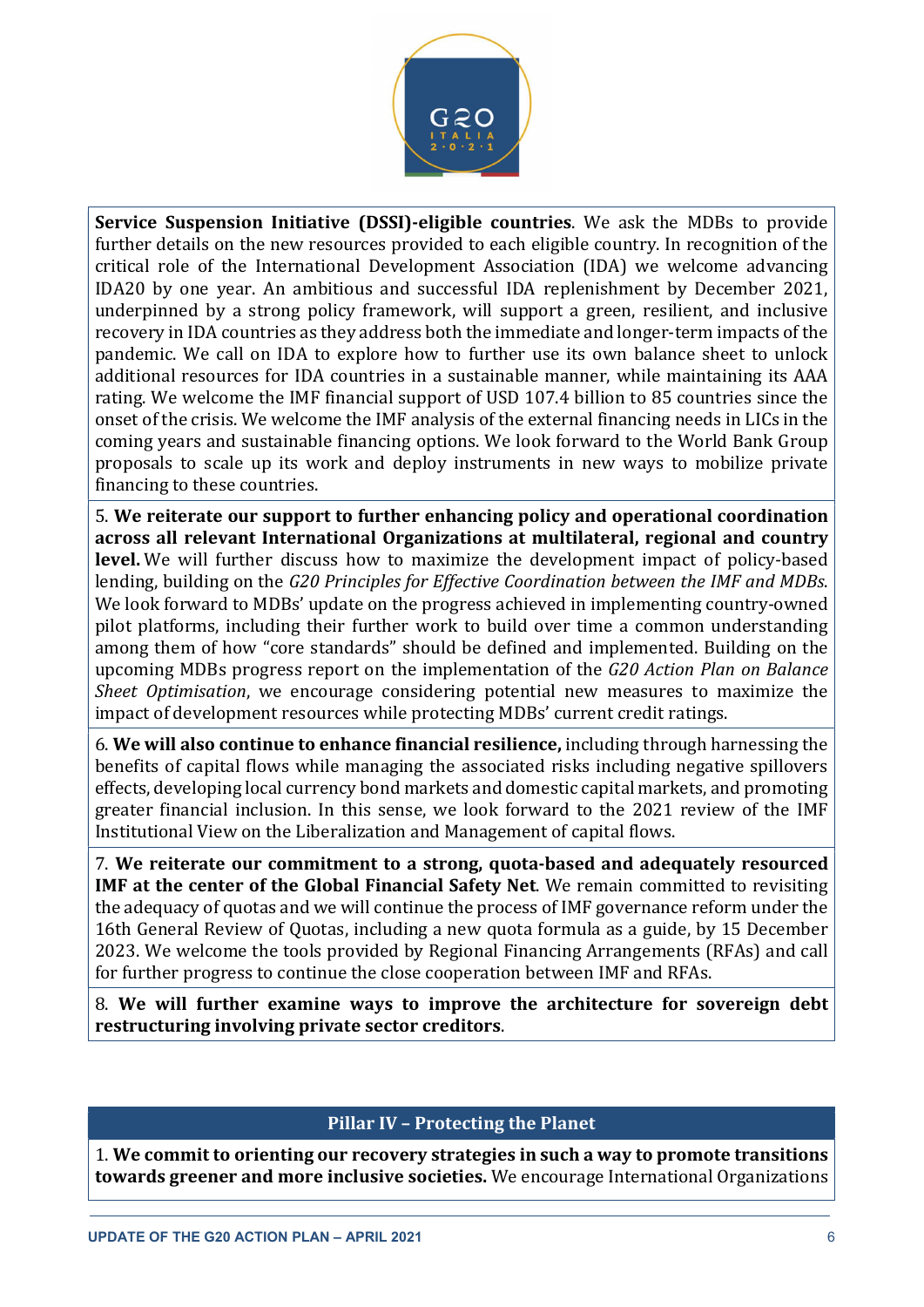

Service Suspension Initiative (DSSI)-eligible countries. We ask the MDBs to provide further details on the new resources provided to each eligible country. In recognition of the critical role of the International Development Association (IDA) we welcome advancing IDA20 by one year. An ambitious and successful IDA replenishment by December 2021, underpinned by a strong policy framework, will support a green, resilient, and inclusive recovery in IDA countries as they address both the immediate and longer-term impacts of the pandemic. We call on IDA to explore how to further use its own balance sheet to unlock additional resources for IDA countries in a sustainable manner, while maintaining its AAA rating. We welcome the IMF financial support of USD 107.4 billion to 85 countries since the onset of the crisis. We welcome the IMF analysis of the external financing needs in LICs in the coming years and sustainable financing options. We look forward to the World Bank Group proposals to scale up its work and deploy instruments in new ways to mobilize private financing to these countries.

5. We reiterate our support to further enhancing policy and operational coordination across all relevant International Organizations at multilateral, regional and country level. We will further discuss how to maximize the development impact of policy-based lending, building on the G20 Principles for Effective Coordination between the IMF and MDBs. We look forward to MDBs' update on the progress achieved in implementing country-owned pilot platforms, including their further work to build over time a common understanding among them of how "core standards" should be defined and implemented. Building on the upcoming MDBs progress report on the implementation of the G20 Action Plan on Balance Sheet Optimisation, we encourage considering potential new measures to maximize the impact of development resources while protecting MDBs' current credit ratings.

6. We will also continue to enhance financial resilience, including through harnessing the benefits of capital flows while managing the associated risks including negative spillovers effects, developing local currency bond markets and domestic capital markets, and promoting greater financial inclusion. In this sense, we look forward to the 2021 review of the IMF Institutional View on the Liberalization and Management of capital flows.

7. We reiterate our commitment to a strong, quota-based and adequately resourced IMF at the center of the Global Financial Safety Net. We remain committed to revisiting the adequacy of quotas and we will continue the process of IMF governance reform under the 16th General Review of Quotas, including a new quota formula as a guide, by 15 December 2023. We welcome the tools provided by Regional Financing Arrangements (RFAs) and call for further progress to continue the close cooperation between IMF and RFAs.

8. We will further examine ways to improve the architecture for sovereign debt restructuring involving private sector creditors.

### Pillar IV – Protecting the Planet

1. We commit to orienting our recovery strategies in such a way to promote transitions towards greener and more inclusive societies. We encourage International Organizations